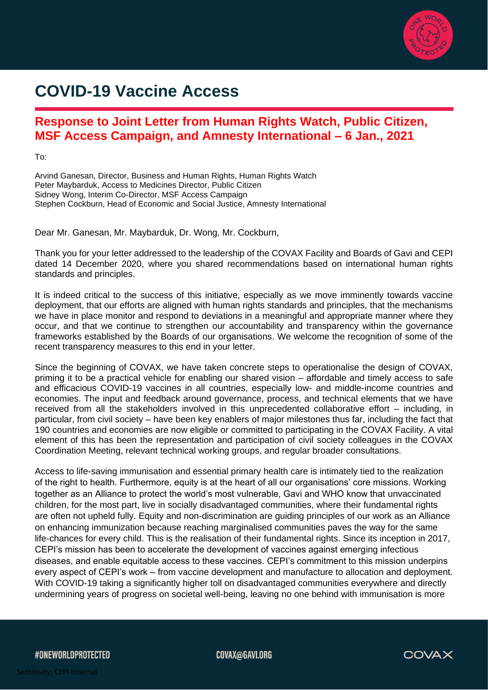

## **COVID-19 Vaccine Access**

## **Response to Joint Letter from Human Rights Watch, Public Citizen, MSF Access Campaign, and Amnesty International – 6 Jan., 2021**

To:

Arvind Ganesan, Director, Business and Human Rights, Human Rights Watch Peter Maybarduk, Access to Medicines Director, Public Citizen Sidney Wong, Interim Co-Director, MSF Access Campaign Stephen Cockburn, Head of Economic and Social Justice, Amnesty International

Dear Mr. Ganesan, Mr. Maybarduk, Dr. Wong, Mr. Cockburn,

Thank you for your letter addressed to the leadership of the COVAX Facility and Boards of Gavi and CEPI dated 14 December 2020, where you shared recommendations based on international human rights standards and principles.

It is indeed critical to the success of this initiative, especially as we move imminently towards vaccine deployment, that our efforts are aligned with human rights standards and principles, that the mechanisms we have in place monitor and respond to deviations in a meaningful and appropriate manner where they occur, and that we continue to strengthen our accountability and transparency within the governance frameworks established by the Boards of our organisations. We welcome the recognition of some of the recent transparency measures to this end in your letter.

Since the beginning of COVAX, we have taken concrete steps to operationalise the design of COVAX, priming it to be a practical vehicle for enabling our shared vision – affordable and timely access to safe and efficacious COVID-19 vaccines in all countries, especially low- and middle-income countries and economies. The input and feedback around governance, process, and technical elements that we have received from all the stakeholders involved in this unprecedented collaborative effort – including, in particular, from civil society – have been key enablers of major milestones thus far, including the fact that 190 countries and economies are now eligible or committed to participating in the COVAX Facility. A vital element of this has been the representation and participation of civil society colleagues in the COVAX Coordination Meeting, relevant technical working groups, and regular broader consultations.

Access to life-saving immunisation and essential primary health care is intimately tied to the realization of the right to health. Furthermore, equity is at the heart of all our organisations' core missions. Working together as an Alliance to protect the world's most vulnerable, Gavi and WHO know that unvaccinated children, for the most part, live in socially disadvantaged communities, where their fundamental rights are often not upheld fully. Equity and non-discrimination are guiding principles of our work as an Alliance on enhancing immunization because reaching marginalised communities paves the way for the same life-chances for every child. This is the realisation of their fundamental rights. Since its inception in 2017, CEPI's mission has been to accelerate the development of vaccines against emerging infectious diseases, and enable equitable access to these vaccines. CEPI's commitment to this mission underpins every aspect of CEPI's work – from vaccine development and manufacture to allocation and deployment. With COVID-19 taking a significantly higher toll on disadvantaged communities everywhere and directly undermining years of progress on societal well-being, leaving no one behind with immunisation is more

#ONEWORLDPROTECTED

COVAX@GAVI.ORG